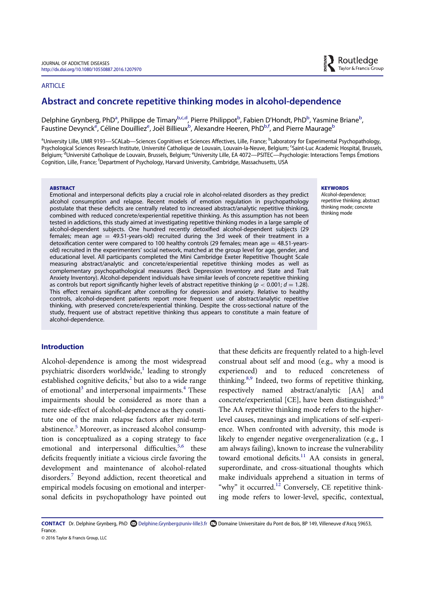### **ARTICLE**

# Abstract and concrete repetitive thinking modes in alcohol-dependence

Delphine Grynberg, PhD<sup>a</sup>, Philippe de Timary<sup>b,c,d</sup>, Pierre Philippot<sup>b</sup>, Fabien D'Hondt, PhD<sup>b</sup>, Yasmine Briane<sup>b</sup> , Faustine Devynck<sup>e</sup>, Céline Douilliez<sup>e</sup>, Joël Billieux<sup>b</sup>, Alexandre Heeren, PhD<sup>b,f</sup>, and Pierre Maurage<sup>b</sup>

<sup>a</sup>University Lille, UMR 9193—SCALab—Sciences Cognitives et Sciences Affectives, Lille, France; <sup>b</sup>Laboratory for Experimental Psychopathology, Psychological Sciences Research Institute, Université Catholique de Louvain, Louvain-la-Neuve, Belgium; <sup>c</sup>Saint-Luc Academic Hospital, Brussels, Belgium; <sup>d</sup>Université Catholique de Louvain, Brussels, Belgium; <sup>e</sup>University Lille, EA 4072—PSITEC—Psychologie: Interactions Temps Émotions Cognition, Lille, France; <sup>f</sup>Department of Psychology, Harvard University, Cambridge, Massachusetts, USA

#### **ABSTRACT**

Emotional and interpersonal deficits play a crucial role in alcohol-related disorders as they predict alcohol consumption and relapse. Recent models of emotion regulation in psychopathology postulate that these deficits are centrally related to increased abstract/analytic repetitive thinking, combined with reduced concrete/experiential repetitive thinking. As this assumption has not been tested in addictions, this study aimed at investigating repetitive thinking modes in a large sample of alcohol-dependent subjects. One hundred recently detoxified alcohol-dependent subjects (29 females; mean age  $=$  49.51-years-old) recruited during the 3rd week of their treatment in a detoxification center were compared to 100 healthy controls (29 females; mean age  $=$  48.51-yearsold) recruited in the experimenters' social network, matched at the group level for age, gender, and educational level. All participants completed the Mini Cambridge Exeter Repetitive Thought Scale measuring abstract/analytic and concrete/experiential repetitive thinking modes as well as complementary psychopathological measures (Beck Depression Inventory and State and Trait Anxiety Inventory). Alcohol-dependent individuals have similar levels of concrete repetitive thinking as controls but report significantly higher levels of abstract repetitive thinking ( $p < 0.001$ ;  $d = 1.28$ ). This effect remains significant after controlling for depression and anxiety. Relative to healthy controls, alcohol-dependent patients report more frequent use of abstract/analytic repetitive thinking, with preserved concrete/experiential thinking. Despite the cross-sectional nature of the study, frequent use of abstract repetitive thinking thus appears to constitute a main feature of alcohol-dependence.

# Introduction

Alcohol-dependence is among the most widespread psychiatric disorders worldwide, $\frac{1}{1}$  leading to strongly established cognitive deficits, $<sup>2</sup>$  but also to a wide range</sup> of emotional<sup>3</sup> and interpersonal impairments.<sup>4</sup> These impairments should be considered as more than a mere side-effect of alcohol-dependence as they constitute one of the main relapse factors after mid-term abstinence.<sup>5</sup> Moreover, as increased alcohol consumption is conceptualized as a coping strategy to face emotional and interpersonal difficulties, $5,6$  these deficits frequently initiate a vicious circle favoring the development and maintenance of alcohol-related disorders.<sup>7</sup> Beyond addiction, recent theoretical and empirical models focusing on emotional and interpersonal deficits in psychopathology have pointed out

that these deficits are frequently related to a high-level construal about self and mood (e.g., why a mood is experienced) and to reduced concreteness of thinking.<sup>8,9</sup> Indeed, two forms of repetitive thinking, respectively named abstract/analytic [AA] and concrete/experiential [CE], have been distinguished: $10$ The AA repetitive thinking mode refers to the higherlevel causes, meanings and implications of self-experience. When confronted with adversity, this mode is likely to engender negative overgeneralization (e.g., I am always failing), known to increase the vulnerability toward emotional deficits.<sup>11</sup> AA consists in general, superordinate, and cross-situational thoughts which make individuals apprehend a situation in terms of "why" it occurred.<sup>12</sup> Conversely, CE repetitive thinking mode refers to lower-level, specific, contextual,

CONTACT Dr. Delphine Grynberg, PhD Delphine.Grynberg@univ-lille3.fr Domaine Universitaire du Pont de Bois, BP 149, Villeneuve d'Ascq 59653, France.

© 2016 Taylor & Francis Group, LLC

#### **KEYWORDS**

Alcohol-dependence; repetitive thinking; abstract thinking mode; concrete thinking mode

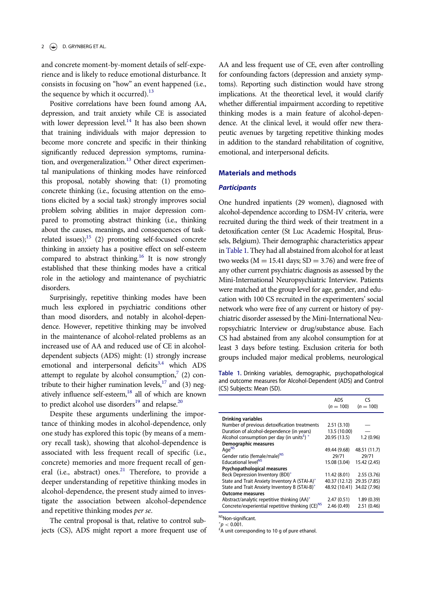and concrete moment-by-moment details of self-experience and is likely to reduce emotional disturbance. It consists in focusing on "how" an event happened (i.e., the sequence by which it occurred).<sup>13</sup>

Positive correlations have been found among AA, depression, and trait anxiety while CE is associated with lower depression level. $14$  It has also been shown that training individuals with major depression to become more concrete and specific in their thinking significantly reduced depression symptoms, rumination, and overgeneralization.<sup>13</sup> Other direct experimental manipulations of thinking modes have reinforced this proposal, notably showing that: (1) promoting concrete thinking (i.e., focusing attention on the emotions elicited by a social task) strongly improves social problem solving abilities in major depression compared to promoting abstract thinking (i.e., thinking about the causes, meanings, and consequences of taskrelated issues); $15$  (2) promoting self-focused concrete thinking in anxiety has a positive effect on self-esteem compared to abstract thinking.<sup>16</sup> It is now strongly established that these thinking modes have a critical role in the aetiology and maintenance of psychiatric disorders.

Surprisingly, repetitive thinking modes have been much less explored in psychiatric conditions other than mood disorders, and notably in alcohol-dependence. However, repetitive thinking may be involved in the maintenance of alcohol-related problems as an increased use of AA and reduced use of CE in alcoholdependent subjects (ADS) might: (1) strongly increase emotional and interpersonal deficits $3,4$  which ADS attempt to regulate by alcohol consumption, $7$  (2) contribute to their higher rumination levels, $^{17}$  and (3) negatively influence self-esteem,<sup>18</sup> all of which are known to predict alcohol use disorders $^{19}$  and relapse.<sup>20</sup>

Despite these arguments underlining the importance of thinking modes in alcohol-dependence, only one study has explored this topic (by means of a memory recall task), showing that alcohol-dependence is associated with less frequent recall of specific (i.e., concrete) memories and more frequent recall of general (i.e., abstract) ones. $21$  Therefore, to provide a deeper understanding of repetitive thinking modes in alcohol-dependence, the present study aimed to investigate the association between alcohol-dependence and repetitive thinking modes per se.

The central proposal is that, relative to control subjects (CS), ADS might report a more frequent use of AA and less frequent use of CE, even after controlling for confounding factors (depression and anxiety symptoms). Reporting such distinction would have strong implications. At the theoretical level, it would clarify whether differential impairment according to repetitive thinking modes is a main feature of alcohol-dependence. At the clinical level, it would offer new therapeutic avenues by targeting repetitive thinking modes in addition to the standard rehabilitation of cognitive, emotional, and interpersonal deficits.

# Materials and methods

## **Participants**

One hundred inpatients (29 women), diagnosed with alcohol-dependence according to DSM-IV criteria, were recruited during the third week of their treatment in a detoxification center (St Luc Academic Hospital, Brussels, Belgium). Their demographic characteristics appear in Table 1. They had all abstained from alcohol for at least two weeks ( $M = 15.41$  days; SD = 3.76) and were free of any other current psychiatric diagnosis as assessed by the Mini-International Neuropsychiatric Interview. Patients were matched at the group level for age, gender, and education with 100 CS recruited in the experimenters' social network who were free of any current or history of psychiatric disorder assessed by the Mini-International Neuropsychiatric Interview or drug/substance abuse. Each CS had abstained from any alcohol consumption for at least 3 days before testing. Exclusion criteria for both groups included major medical problems, neurological

Table 1. Drinking variables, demographic, psychopathological and outcome measures for Alcohol-Dependent (ADS) and Control (CS) Subjects: Mean (SD).

|                                                                     | <b>ADS</b><br>$(n = 100)$  | ٢٢<br>$(n = 100)$ |  |
|---------------------------------------------------------------------|----------------------------|-------------------|--|
| Drinking variables                                                  |                            |                   |  |
| Number of previous detoxification treatments                        | 2.51(3.10)                 |                   |  |
| Duration of alcohol-dependence (in years)                           | 13.5 (10.00)               |                   |  |
| Alcohol consumption per day (in units <sup><math>E</math></sup> ) * | 20.95 (13.5)               | 1.2(0.96)         |  |
| Demographic measures                                                |                            |                   |  |
| Age <sup>NS</sup>                                                   | 49.44 (9.68)               | 48.51 (11.7)      |  |
| Gender ratio (female/male) <sup>NS</sup>                            | 29/71                      | 29/71             |  |
| <b>Educational level<sup>NS</sup></b>                               | 15.08 (3.04)               | 15.42 (2.45)      |  |
| Psychopathological measures                                         |                            |                   |  |
| Beck Depression Inventory (BDI)*                                    | 11.42 (8.01)               | 2.55(3.76)        |  |
| State and Trait Anxiety Inventory A (STAI-A)*                       | 40.37 (12.12) 29.35 (7.85) |                   |  |
| State and Trait Anxiety Inventory B (STAI-B)*                       | 48.92 (10.41) 34.02 (7.96) |                   |  |
| <b>Outcome measures</b>                                             |                            |                   |  |
| Abstract/analytic repetitive thinking (AA)*                         | 2.47(0.51)                 | 1.89(0.39)        |  |
| Concrete/experiential repetitive thinking (CE) <sup>NS</sup>        | 2.46 (0.49)                | 2.51(0.46)        |  |

NSNon-significant.

 $^*\!p <$  0.001.<br> $^{\rm f}$ A unit corresponding to 10 g of pure ethanol.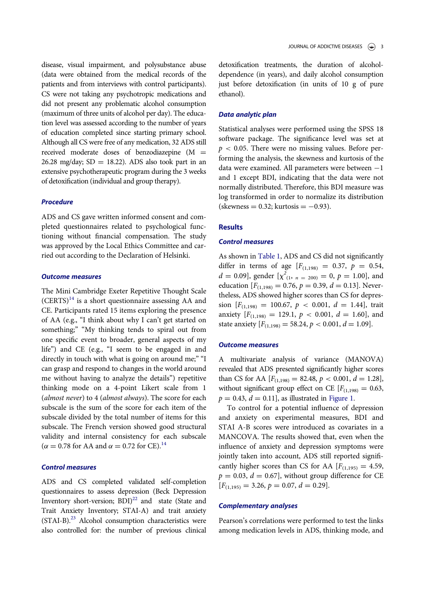disease, visual impairment, and polysubstance abuse (data were obtained from the medical records of the patients and from interviews with control participants). CS were not taking any psychotropic medications and did not present any problematic alcohol consumption (maximum of three units of alcohol per day). The education level was assessed according to the number of years of education completed since starting primary school. Although all CS were free of any medication, 32 ADS still received moderate doses of benzodiazepine  $(M =$ 26.28 mg/day;  $SD = 18.22$ ). ADS also took part in an extensive psychotherapeutic program during the 3 weeks of detoxification (individual and group therapy).

### Procedure

ADS and CS gave written informed consent and completed questionnaires related to psychological functioning without financial compensation. The study was approved by the Local Ethics Committee and carried out according to the Declaration of Helsinki.

# Outcome measures

The Mini Cambridge Exeter Repetitive Thought Scale  $(CERTS)^{14}$  is a short questionnaire assessing AA and CE. Participants rated 15 items exploring the presence of AA (e.g., "I think about why I can't get started on something;" "My thinking tends to spiral out from one specific event to broader, general aspects of my life") and CE (e.g., "I seem to be engaged in and directly in touch with what is going on around me;" "I can grasp and respond to changes in the world around me without having to analyze the details") repetitive thinking mode on a 4-point Likert scale from 1 (almost never) to 4 (almost always). The score for each subscale is the sum of the score for each item of the subscale divided by the total number of items for this subscale. The French version showed good structural validity and internal consistency for each subscale ( $\alpha = 0.78$  for AA and  $\alpha = 0.72$  for CE).<sup>14</sup>

# Control measures

ADS and CS completed validated self-completion questionnaires to assess depression (Beck Depression Inventory short-version;  $BDI)^{22}$  and state (State and Trait Anxiety Inventory; STAI-A) and trait anxiety (STAI-B).23 Alcohol consumption characteristics were also controlled for: the number of previous clinical

detoxification treatments, the duration of alcoholdependence (in years), and daily alcohol consumption just before detoxification (in units of 10 g of pure ethanol).

#### Data analytic plan

Statistical analyses were performed using the SPSS 18 software package. The significance level was set at  $p < 0.05$ . There were no missing values. Before performing the analysis, the skewness and kurtosis of the data were examined. All parameters were between  $-1$ and 1 except BDI, indicating that the data were not normally distributed. Therefore, this BDI measure was log transformed in order to normalize its distribution (skewness = 0.32; kurtosis =  $-0.93$ ).

#### **Results**

#### Control measures

As shown in Table 1, ADS and CS did not significantly differ in terms of age  $[F_{(1,198)} = 0.37, p = 0.54,$  $d = 0.09$ , gender  $[\chi^2_{(1, n = 200)} = 0, p = 1.00]$ , and education  $[F_{(1,198)} = 0.76, p = 0.39, d = 0.13]$ . Nevertheless, ADS showed higher scores than CS for depression  $[F_{(1,198)} = 100.67, p < 0.001, d = 1.44]$ , trait anxiety  $[F_{(1,198)} = 129.1, p < 0.001, d = 1.60]$ , and state anxiety  $[F_{(1,198)} = 58.24, p < 0.001, d = 1.09]$ .

#### Outcome measures

A multivariate analysis of variance (MANOVA) revealed that ADS presented significantly higher scores than CS for AA  $[F_{(1,198)} = 82.48, p < 0.001, d = 1.28]$ , without significant group effect on CE  $[F(1,198)] = 0.63$ ,  $p = 0.43$ ,  $d = 0.11$ ], as illustrated in Figure 1.

To control for a potential influence of depression and anxiety on experimental measures, BDI and STAI A-B scores were introduced as covariates in a MANCOVA. The results showed that, even when the influence of anxiety and depression symptoms were jointly taken into account, ADS still reported significantly higher scores than CS for AA  $[F(1,195) = 4.59]$ ,  $p = 0.03$ ,  $d = 0.67$ ], without group difference for CE  $[F_{(1,195)} = 3.26, p = 0.07, d = 0.29].$ 

# Complementary analyses

Pearson's correlations were performed to test the links among medication levels in ADS, thinking mode, and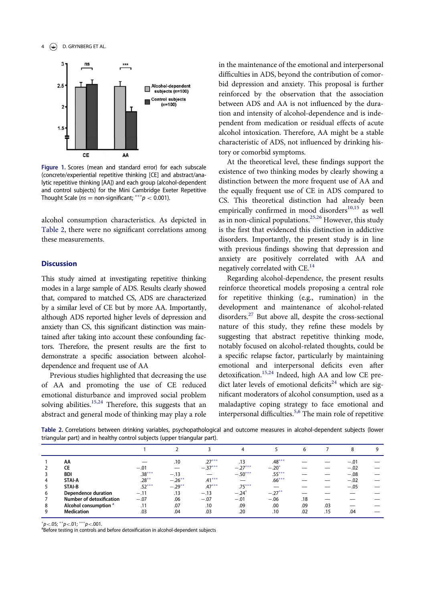### 4 **(C)** D. GRYNBERG ET AL.



Figure 1. Scores (mean and standard error) for each subscale (concrete/experiential repetitive thinking [CE] and abstract/analytic repetitive thinking [AA]) and each group (alcohol-dependent and control subjects) for the Mini Cambridge Exeter Repetitive Thought Scale ( $ns =$  non-significant;  $** p < 0.001$ ).

alcohol consumption characteristics. As depicted in Table 2, there were no significant correlations among these measurements.

# **Discussion**

This study aimed at investigating repetitive thinking modes in a large sample of ADS. Results clearly showed that, compared to matched CS, ADS are characterized by a similar level of CE but by more AA. Importantly, although ADS reported higher levels of depression and anxiety than CS, this significant distinction was maintained after taking into account these confounding factors. Therefore, the present results are the first to demonstrate a specific association between alcoholdependence and frequent use of AA

Previous studies highlighted that decreasing the use of AA and promoting the use of CE reduced emotional disturbance and improved social problem solving abilities.<sup>15,24</sup> Therefore, this suggests that an abstract and general mode of thinking may play a role in the maintenance of the emotional and interpersonal difficulties in ADS, beyond the contribution of comorbid depression and anxiety. This proposal is further reinforced by the observation that the association between ADS and AA is not influenced by the duration and intensity of alcohol-dependence and is independent from medication or residual effects of acute alcohol intoxication. Therefore, AA might be a stable characteristic of ADS, not influenced by drinking history or comorbid symptoms.

At the theoretical level, these findings support the existence of two thinking modes by clearly showing a distinction between the more frequent use of AA and the equally frequent use of CE in ADS compared to CS. This theoretical distinction had already been empirically confirmed in mood disorders $10,15$  as well as in non-clinical populations.<sup>25,26</sup> However, this study is the first that evidenced this distinction in addictive disorders. Importantly, the present study is in line with previous findings showing that depression and anxiety are positively correlated with AA and negatively correlated with CE.<sup>14</sup>

Regarding alcohol-dependence, the present results reinforce theoretical models proposing a central role for repetitive thinking (e.g., rumination) in the development and maintenance of alcohol-related disorders.<sup>27</sup> But above all, despite the cross-sectional nature of this study, they refine these models by suggesting that abstract repetitive thinking mode, notably focused on alcohol-related thoughts, could be a specific relapse factor, particularly by maintaining emotional and interpersonal deficits even after detoxification.15,24 Indeed, high AA and low CE predict later levels of emotional deficits<sup>24</sup> which are significant moderators of alcohol consumption, used as a maladaptive coping strategy to face emotional and interpersonal difficulties.5,6 The main role of repetitive

Table 2. Correlations between drinking variables, psychopathological and outcome measures in alcohol-dependent subjects (lower triangular part) and in healthy control subjects (upper triangular part).

|   |                                  |          |           |           | 4         |           | 6   |     | 8      | 9 |
|---|----------------------------------|----------|-----------|-----------|-----------|-----------|-----|-----|--------|---|
|   | AA                               |          | .10       | $.27***$  | .13       | $.48***$  |     |     | $-.01$ |   |
|   | СE                               | $-.01$   |           | $-.37***$ | $-.27***$ | $-.20^*$  |     |     | $-.02$ |   |
|   | BDI                              | $.38***$ | $-.13$    |           | $-.50***$ | $.55***$  |     |     | $-.08$ |   |
|   | STAI-A                           | $.28***$ | $-.26***$ | $.41***$  |           | $.66***$  |     |     | $-.02$ |   |
|   | STAI-B                           | $.52***$ | $-.29***$ | $.47***$  | $.75***$  |           |     |     | $-.05$ |   |
| b | Dependence duration              | $-.11$   | .13       | $-.13$    | $-.24*$   | $-.27***$ |     |     |        |   |
|   | <b>Number of detoxification</b>  | $-.07$   | .06       | $-.07$    | $-.01$    | $-.06$    | .18 |     |        |   |
| 8 | Alcohol consumption <sup>a</sup> | .11      | .07       | .10       | .09       | .00       | .09 | .03 |        |   |
|   | <b>Medication</b>                | .03      | .04       | .03       | .20       | .10       | .02 | .15 | .04    |   |

 $p<.05$ ;  $^{**}p<.01$ ;  $^{***}p<.001$ .<br>aBoforo testing in controls an

<sup>a</sup>Before testing in controls and before detoxification in alcohol-dependent subjects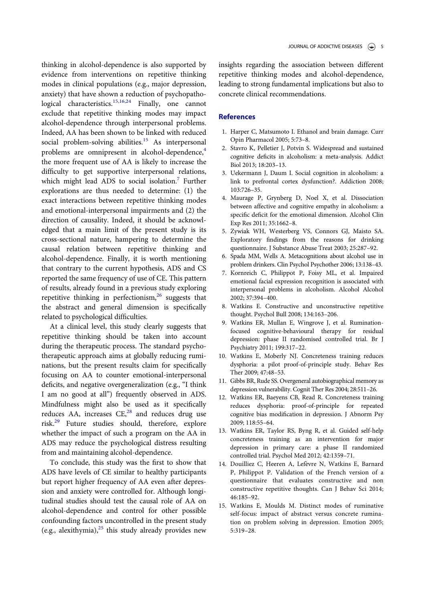thinking in alcohol-dependence is also supported by evidence from interventions on repetitive thinking modes in clinical populations (e.g., major depression, anxiety) that have shown a reduction of psychopathological characteristics.<sup>15,16,24</sup> Finally, one cannot exclude that repetitive thinking modes may impact alcohol-dependence through interpersonal problems. Indeed, AA has been shown to be linked with reduced social problem-solving abilities.<sup>15</sup> As interpersonal problems are omnipresent in alcohol-dependence,<sup>4</sup> the more frequent use of AA is likely to increase the difficulty to get supportive interpersonal relations, which might lead ADS to social isolation.<sup>7</sup> Further explorations are thus needed to determine: (1) the exact interactions between repetitive thinking modes and emotional-interpersonal impairments and (2) the direction of causality. Indeed, it should be acknowledged that a main limit of the present study is its cross-sectional nature, hampering to determine the causal relation between repetitive thinking and alcohol-dependence. Finally, it is worth mentioning that contrary to the current hypothesis, ADS and CS reported the same frequency of use of CE. This pattern of results, already found in a previous study exploring repetitive thinking in perfectionism,<sup>26</sup> suggests that the abstract and general dimension is specifically related to psychological difficulties.

At a clinical level, this study clearly suggests that repetitive thinking should be taken into account during the therapeutic process. The standard psychotherapeutic approach aims at globally reducing ruminations, but the present results claim for specifically focusing on AA to counter emotional-interpersonal deficits, and negative overgeneralization (e.g., "I think I am no good at all") frequently observed in ADS. Mindfulness might also be used as it specifically reduces AA, increases  $CE<sub>1</sub><sup>28</sup>$  and reduces drug use risk.<sup>29</sup> Future studies should, therefore, explore whether the impact of such a program on the AA in ADS may reduce the psychological distress resulting from and maintaining alcohol-dependence.

To conclude, this study was the first to show that ADS have levels of CE similar to healthy participants but report higher frequency of AA even after depression and anxiety were controlled for. Although longitudinal studies should test the causal role of AA on alcohol-dependence and control for other possible confounding factors uncontrolled in the present study (e.g., alexithymia), $^{25}$  this study already provides new insights regarding the association between different repetitive thinking modes and alcohol-dependence, leading to strong fundamental implications but also to concrete clinical recommendations.

# References

- 1. Harper C, Matsumoto I. Ethanol and brain damage. Curr Opin Pharmacol 2005; 5:73–8.
- 2. Stavro K, Pelletier J, Potvin S. Widespread and sustained cognitive deficits in alcoholism: a meta-analysis. Addict Biol 2013; 18:203–13.
- 3. Uekermann J, Daum I. Social cognition in alcoholism: a link to prefrontal cortex dysfunction?. Addiction 2008; 103:726–35.
- 4. Maurage P, Grynberg D, Noel X, et al. Dissociation between affective and cognitive empathy in alcoholism: a specific deficit for the emotional dimension. Alcohol Clin Exp Res 2011; 35:1662–8.
- 5. Zywiak WH, Westerberg VS, Connors GJ, Maisto SA. Exploratory findings from the reasons for drinking questionnaire. J Substance Abuse Treat 2003; 25:287–92.
- 6. Spada MM, Wells A. Metacognitions about alcohol use in problem drinkers. Clin Psychol Psychother 2006; 13:138–43.
- 7. Kornreich C, Philippot P, Foisy ML, et al. Impaired emotional facial expression recognition is associated with interpersonal problems in alcoholism. Alcohol Alcohol 2002; 37:394–400.
- 8. Watkins E. Constructive and unconstructive repetitive thought. Psychol Bull 2008; 134:163–206.
- 9. Watkins ER, Mullan E, Wingrove J, et al. Ruminationfocused cognitive-behavioural therapy for residual depression: phase II randomised controlled trial. Br J Psychiatry 2011; 199:317–22.
- 10. Watkins E, Moberly NJ. Concreteness training reduces dysphoria: a pilot proof-of-principle study. Behav Res Ther 2009; 47:48–53.
- 11. Gibbs BR, Rude SS. Overgeneral autobiographical memory as depression vulnerability. Cognit Ther Res 2004; 28:511–26.
- 12. Watkins ER, Baeyens CB, Read R. Concreteness training reduces dysphoria: proof-of-principle for repeated cognitive bias modification in depression. J Abnorm Psy 2009; 118:55–64.
- 13. Watkins ER, Taylor RS, Byng R, et al. Guided self-help concreteness training as an intervention for major depression in primary care: a phase II randomized controlled trial. Psychol Med 2012; 42:1359–71.
- 14. Douilliez C, Heeren A, Lefevre N, Watkins E, Barnard P, Philippot P. Validation of the French version of a questionnaire that evaluates constructive and non constructive repetitive thoughts. Can J Behav Sci 2014; 46:185–92.
- 15. Watkins E, Moulds M. Distinct modes of ruminative self-focus: impact of abstract versus concrete rumination on problem solving in depression. Emotion 2005; 5:319–28.